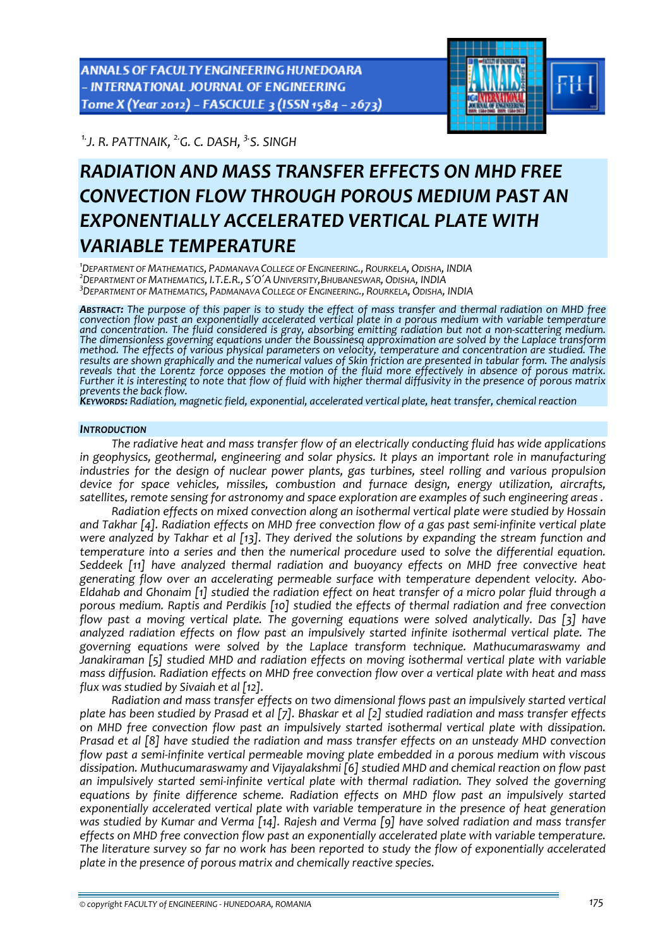ANNALS OF FACULTY ENGINEERING HUNEDOARA - INTERNATIONAL JOURNAL OF ENGINEERING Tome X (Year 2012) - FASCICULE 3 (ISSN 1584 - 2673)

*1.J. R. PATTNAIK, 2.G. C. DASH, 3.S. SINGH* 



# *RADIATION AND MASS TRANSFER EFFECTS ON MHD FREE CONVECTION FLOW THROUGH POROUS MEDIUM PAST AN EXPONENTIALLY ACCELERATED VERTICAL PLATE WITH VARIABLE TEMPERATURE*

*1 DEPARTMENT OF MATHEMATICS, PADMANAVA COLLEGE OF ENGINEERING., ROURKELA, ODISHA, INDIA <sup>2</sup> DEPARTMENT OF MATHEMATICS, I.T.E.R., S΄O΄A UNIVERSITY,BHUBANESWAR, ODISHA, INDIA 3 DEPARTMENT OF MATHEMATICS, PADMANAVA COLLEGE OF ENGINEERING., ROURKELA, ODISHA, INDIA*

ABSTRACT: The purpose of this paper is to study the effect of mass transfer and thermal radiation on MHD free convection flow past an exponentially accelerated vertical plate in a porous medium with variable temperature<br>and concentration. The fluid considered is gray, absorbing emitting radiation but not a non-scattering medium.<br>T The dimensionless governing equations under the Boussinesq approximation are solved by the Laplace transform<br>method. The effects of various physical parameters on velocity, temperature and concentration are studied. The results are shown graphically and the numerical values of Skin friction are presented in tabular form. The analysis<br>reveals that the Lorentz force opposes the motion of the fluid more effectively in absence of porous matri Further it is interesting to note that flow of fluid with higher thermal diffusivity in the presence of porous matrix prevents the back flow.<br>Keywords: Radiation, magnetic field, exponential, accelerated vertical plate, heat transfer, chemical reaction

# *INTRODUCTION*

*The radiative heat and mass transfer flow of an electrically conducting fluid has wide applications in geophysics, geothermal, engineering and solar physics. It plays an important role in manufacturing industries for the design of nuclear power plants, gas turbines, steel rolling and various propulsion device for space vehicles, missiles, combustion and furnace design, energy utilization, aircrafts, satellites, remote sensing for astronomy and space exploration are examples of such engineering areas .*

*Radiation effects on mixed convection along an isothermal vertical plate were studied by Hossain* and Takhar [4]. Radiation effects on MHD free convection flow of a gas past semi-infinite vertical plate *were analyzed by Takhar et al [13]. They derived the solutions by expanding the stream function and temperature into a series and then the numerical procedure used to solve the differential equation. Seddeek [11] have analyzed thermal radiation and buoyancy effects on MHD free convective heat generating flow over an accelerating permeable surface with temperature dependent velocity. Abo‐* Eldahab and Ghonaim [1] studied the radiation effect on heat transfer of a micro polar fluid through a *porous medium. Raptis and Perdikis [10] studied the effects of thermal radiation and free convection flow past a moving vertical plate. The governing equations were solved analytically. Das [3] have analyzed radiation effects on flow past an impulsively started infinite isothermal vertical plate. The governing equations were solved by the Laplace transform technique. Mathucumaraswamy and Janakiraman [5] studied MHD and radiation effects on moving isothermal vertical plate with variable mass diffusion. Radiation effects on MHD free convection flow over a vertical plate with heat and mass flux was studied by Sivaiah et al [12].*

*Radiation and mass transfer effects on two dimensional flows past an impulsively started vertical* plate has been studied by Prasad et al [7]. Bhaskar et al [2] studied radiation and mass transfer effects *on MHD free convection flow past an impulsively started isothermal vertical plate with dissipation. Prasad et al [8] have studied the radiation and mass transfer effects on an unsteady MHD convection flow past a semi‐infinite vertical permeable moving plate embedded in a porous medium with viscous dissipation. Muthucumaraswamy and Vijayalakshmi [6] studied MHD and chemical reaction on flow past an impulsively started semi‐infinite vertical plate with thermal radiation. They solved the governing equations by finite difference scheme. Radiation effects on MHD flow past an impulsively started exponentially accelerated vertical plate with variable temperature in the presence of heat generation was studied by Kumar and Verma [14]. Rajesh and Verma [9] have solved radiation and mass transfer effects on MHD free convection flow past an exponentially accelerated plate with variable temperature. The literature survey so far no work has been reported to study the flow of exponentially accelerated plate in the presence of porous matrix and chemically reactive species.*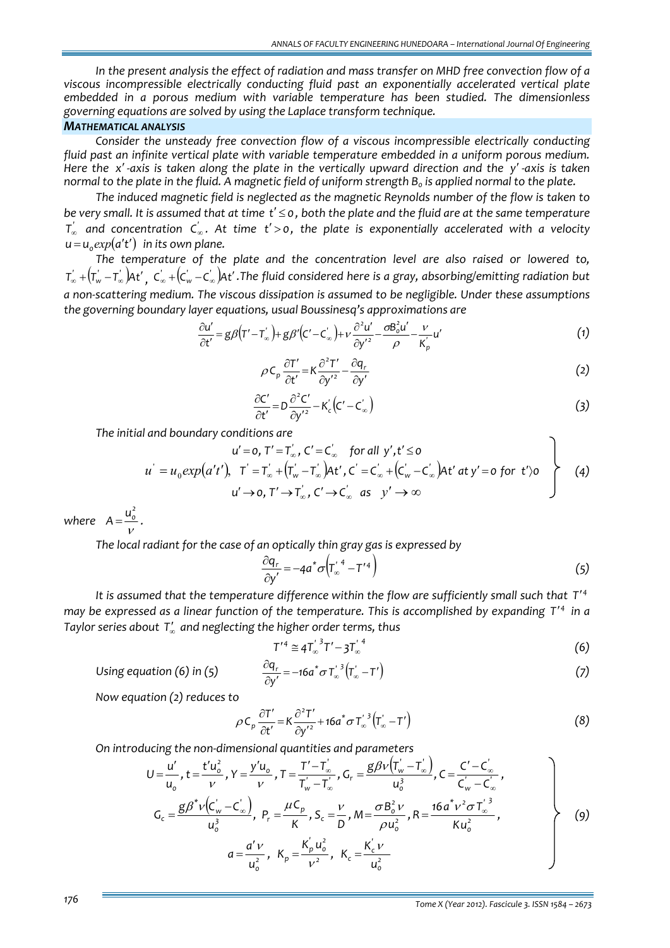*In the present analysis the effect of radiation and mass transfer on MHD free convection flow of a viscous incompressible electrically conducting fluid past an exponentially accelerated vertical plate embedded in a porous medium with variable temperature has been studied. The dimensionless governing equations are solved by using the Laplace transform technique.*

## *MATHEMATICAL ANALYSIS*

*Consider the unsteady free convection flow of a viscous incompressible electrically conducting fluid past an infinite vertical plate with variable temperature embedded in a uniform porous medium.* Here the  $x'$ -axis is taken along the plate in the vertically upward direction and the  $y'$ -axis is taken normal to the plate in the fluid. A magnetic field of uniform strength  $B_0$  is applied normal to the plate.

*The induced magnetic field is neglected as the magnetic Reynolds number of the flow is taken to* be very small. It is assumed that at time  $t' \leq 0$ , both the plate and the fluid are at the same temperature  $\textsf{T}_\infty^{'}$  and concentration  $\textsf{C}_\infty^{'}$ . At time t'>0, the plate is exponentially accelerated with a velocity  $u = u$ <sub>*exp*</sub> $(a't')$  *in its own plane.* 

*The temperature of the plate and the concentration level are also raised or lowered to,*  $T_\infty^{'}$  +( $T_w^{'}$  – $T_\infty^{'}$ )At'  $_{\rm r}$  C $_{\rm \infty}^{'}$  +(C $_{\rm w}^{'}$  –C $_{\infty}^{'}$ )At' .The fluid considered here is a gray, absorbing/emitting radiation but *a non‐scattering medium. The viscous dissipation is assumed to be negligible. Under these assumptions the governing boundary layer equations, usual Boussinesq's approximations are*

$$
\frac{\partial u'}{\partial t'} = g\beta \left( T' - T'_{\infty} \right) + g\beta' \left( C' - C'_{\infty} \right) + \nu \frac{\partial^2 u'}{\partial y'^2} - \frac{\partial B_o^2 u'}{\rho} - \frac{\nu}{K'_p} u' \tag{1}
$$

$$
\rho C_p \frac{\partial T'}{\partial t'} = K \frac{\partial^2 T'}{\partial y'^2} - \frac{\partial q_r}{\partial y'}
$$
 (2)

$$
\frac{\partial C'}{\partial t'} = D \frac{\partial^2 C'}{\partial y'^2} - K_c' (C' - C_\infty')
$$
\n(3)

*The initial and boundary conditions are*

$$
u' = o, T' = T'_{\infty}, C' = C'_{\infty} \text{ for all } y', t' \leq o
$$
  
\n
$$
u' = u_0 exp(a't'), \quad T' = T'_{\infty} + (T'_{\infty} - T'_{\infty})At', C' = C'_{\infty} + (C'_{\infty} - C'_{\infty})At' \text{ at } y' = o \text{ for } t' \geq o
$$
  
\n
$$
u' \rightarrow o, T' \rightarrow T'_{\infty}, C' \rightarrow C'_{\infty} \text{ as } y' \rightarrow \infty
$$
\n(4)

*where*  $A = \frac{u_o^2}{u}$ . ν

*The local radiant for the case of an optically thin gray gas is expressed by*

$$
\frac{\partial q_r}{\partial y'} = -4a^* \sigma \left( T_\infty^{'4} - T^{'4} \right) \tag{5}
$$

*It is assumed that the temperature difference within the flow are sufficiently small such that <sup>4</sup> T*′ may be expressed as a linear function of the temperature. This is accomplished by expanding T'4 in a *Taylor series about* <sup>∞</sup>*T*′ *and neglecting the higher order terms, thus*

$$
T^{'4} \cong 4T'_{\infty}^{\,3}T' - 3T'_{\infty}^{\,4} \tag{6}
$$

$$
\frac{\partial q_r}{\partial y'} = -16a^* \sigma T_{\infty}^{'3} (\tau_{\infty}' - T') \tag{7}
$$

*<i>Using equation* (6) *in* (5)

Now equation (2) reduces to  
\n
$$
\rho C_p \frac{\partial T'}{\partial t'} = K \frac{\partial^2 T'}{\partial y'^2} + 16a^* \sigma T'_\infty^3 (T'_\infty - T')
$$
\n(8)

*On introducing the non‐dimensional quantities and parameters* 

$$
U = \frac{u'}{u_o}, t = \frac{t'u_o^2}{v}, Y = \frac{y'u_o}{v}, T = \frac{T' - T'_\infty}{T'_w - T'_\infty}, G_r = \frac{g\beta v (T'_w - T'_\infty)}{u_o^3}, C = \frac{C' - C'_\infty}{C'_w - C'_\infty},
$$
  
\n
$$
G_c = \frac{g\beta^* v (C'_w - C'_\infty)}{u_o^3}, P_r = \frac{\mu C_p}{K}, S_c = \frac{v}{D}, M = \frac{\sigma B_o^2 v}{\rho u_o^2}, R = \frac{16a^* v^2 \sigma T'_\infty}{K u_o^2},
$$
  
\n
$$
a = \frac{a'v}{u_o^2}, K_p = \frac{K'_p u_o^2}{v^2}, K_c = \frac{K'_c v}{u_o^2}
$$
 (9)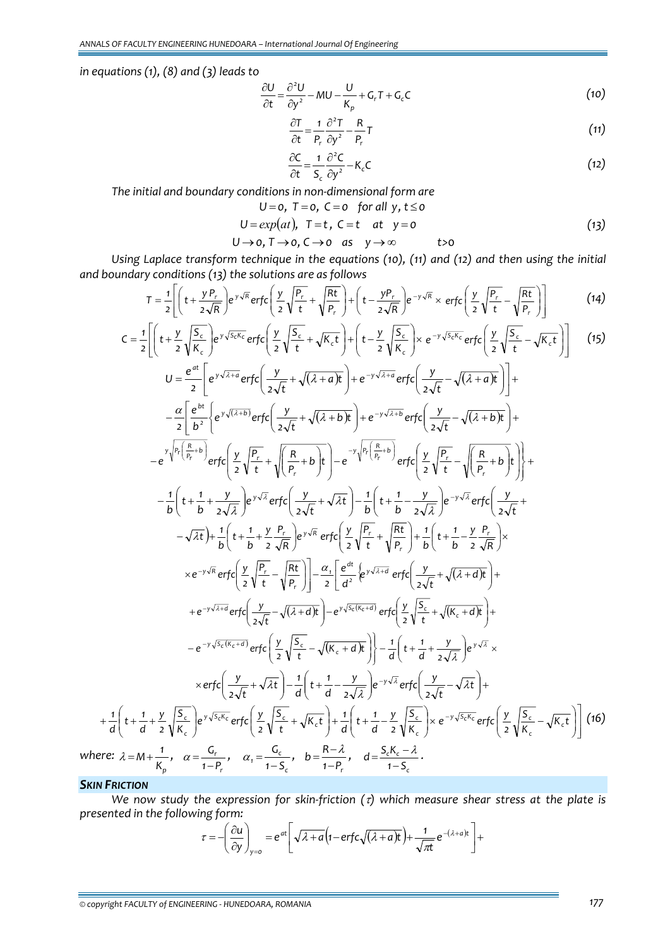*in equations (1), (8) and (3) leads to*

$$
\frac{\partial U}{\partial t} = \frac{\partial^2 U}{\partial y^2} - MU - \frac{U}{K_p} + G_r T + G_c C \tag{10}
$$

$$
\frac{\partial T}{\partial t} = \frac{1}{P_r} \frac{\partial^2 T}{\partial y^2} - \frac{R}{P_r} T \tag{11}
$$

$$
\frac{\partial C}{\partial t} = \frac{1}{S_c} \frac{\partial^2 C}{\partial y^2} - K_c C \tag{12}
$$

*The initial and boundary conditions in non‐dimensional form are*  $U = 0, T = 0, C = 0, \text{ for all } y, t \le 0$ 

$$
U = 0, \quad I = 0, \quad C = 0 \quad \text{for all } y, \quad t \le 0
$$
\n
$$
U = \exp(\alpha t), \quad T - t, \quad C - t, \quad at, \quad V = 0
$$
\n
$$
(12)
$$

$$
U = exp(at), \quad I = t, \quad C = t \quad at \quad y = 0
$$
\n
$$
U \rightarrow 0, \quad T \rightarrow 0, \quad C \rightarrow 0 \quad as \quad y \rightarrow \infty \quad t > 0
$$
\n
$$
(13)
$$

*Using Laplace transform technique in the equations (10), (11) and (12) and then using the initial and boundary conditions (13) the solutions are as follows*

$$
T = \frac{1}{2} \left[ \left( t + \frac{y P_r}{2\sqrt{R}} \right) e^{y\sqrt{R}} \operatorname{erfc} \left( \frac{y}{2} \sqrt{\frac{P_r}{t}} + \sqrt{\frac{Rt}{P_r}} \right) + \left( t - \frac{y P_r}{2\sqrt{R}} \right) e^{-y\sqrt{R}} \times \operatorname{erfc} \left( \frac{y}{2} \sqrt{\frac{P_r}{t}} - \sqrt{\frac{Rt}{P_r}} \right) \right] \tag{14}
$$

$$
C = \frac{1}{2} \left[ \left( t + \frac{y}{2} \sqrt{\frac{S_c}{k_c}} \right) e^{\sqrt{3c\sqrt{k_c}}} \text{erfc} \left( \frac{y}{2} \sqrt{\frac{S_c}{t}} + \sqrt{K_c t} \right) + \left( t - \frac{y}{2} \sqrt{\frac{S_c}{k_c}} \right) \times e^{-y \sqrt{3c\sqrt{k_c}}} \text{erfc} \left( \frac{y}{2} \sqrt{\frac{S_c}{t}} - \sqrt{K_c t} \right) \right] \quad (15)
$$
\n
$$
U = \frac{e^{at}}{2} \left[ e^{y \sqrt{4+a}} \text{erfc} \left( \frac{y}{2\sqrt{t}} + \sqrt{(2+a)t} \right) + e^{-y \sqrt{4+a}} \text{erfc} \left( \frac{y}{2\sqrt{t}} - \sqrt{(2+a)t} \right) \right] + \frac{e^{y \sqrt{2+a}} \text{erfc} \left( \frac{y}{2\sqrt{t}} - \sqrt{(2+a)t} \right) + e^{-y \sqrt{4+a}} \text{erfc} \left( \frac{y}{2\sqrt{t}} - \sqrt{(2+a)t} \right) + e^{-y \sqrt{4+a}} \text{erfc} \left( \frac{y}{2\sqrt{t}} - \sqrt{(2+a)t} \right) + \frac{e^{y \sqrt{R} \left( \frac{R}{k_b} + b \right)}}{2} \text{erfc} \left( \frac{y}{2} \sqrt{\frac{R}{t}} + \sqrt{\frac{R}{k_b} + b} \right) + e^{-y \sqrt{4+a}} \text{erfc} \left( \frac{y}{2} \sqrt{\frac{R}{t}} - \sqrt{\frac{R}{k_b} + b} \right) + \frac{e^{y \sqrt{R} \left( \frac{R}{k_b} + b \right)}}{2} \text{erfc} \left( \frac{y}{2} \sqrt{\frac{R}{t}} + \sqrt{\frac{R}{k_b} + b} \right) + \frac{1}{2} \left( t + \frac{1}{b} + \frac{y}{2\sqrt{R}} \right) e^{y \sqrt{R}} \text{erfc} \left( \frac{y}{2\sqrt{t}} + \sqrt{\frac{R}{k}} \right) + \frac{1}{b} \left( t + \frac{1}{b} - \frac{y}{2\sqrt{R}} \right) \times e^{-y \sqrt{R} \text{erfc} \left( \frac{y}{2} \sqrt{\frac{R}{t}} - \sqrt{\frac{
$$

*SKIN FRICTION*

*Kp*

We now study the expression for skin-friction  $(7)$  which measure shear stress at the plate is *presented in the following form:*

*c*

$$
\tau = -\left(\frac{\partial u}{\partial y}\right)_{y=0} = e^{at} \left[ \sqrt{\lambda + a} \left(1 - \text{erfc}\sqrt{(\lambda + a)t}\right) + \frac{1}{\sqrt{\pi t}} e^{-(\lambda + a)t} \right] +
$$

*© copyright FACULTY of ENGINEERING ‐ HUNEDOARA, ROMANIA 177*

*r*

*1 P*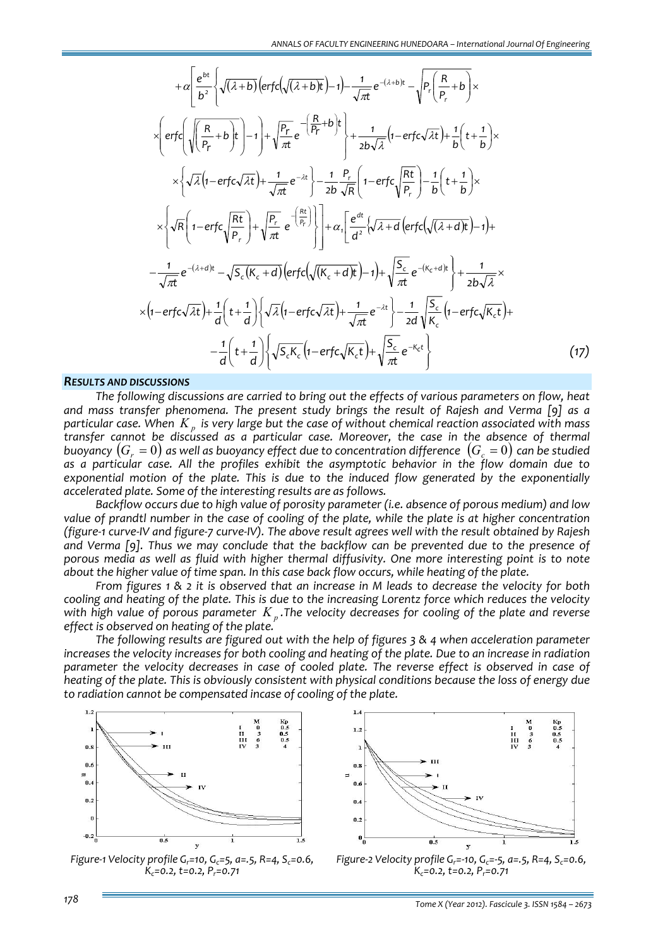$$
+ \alpha \left[ \frac{e^{bt}}{b^2} \left\{ \sqrt{(\lambda+b)} \left( erfc\left(\sqrt{(\lambda+b)}t\right) - 1 \right) - \frac{1}{\sqrt{\pi t}} e^{-(\lambda+b)t} - \sqrt{P_r \left( \frac{R}{P_r} + b \right)} \right\} \times \right.
$$
  
\n
$$
\times \left\{ erfc\left( \sqrt{\frac{R}{P_r} + b}t \right) - 1 \right\} + \sqrt{\frac{P_r}{\pi t}} e^{-\frac{R}{\left( \frac{R}{P_r} + b \right)}t} + \frac{1}{2b\sqrt{\lambda}} \left( 1 - erfc\sqrt{\lambda t} \right) + \frac{1}{b} \left( t + \frac{1}{b} \right) \times \right.
$$
  
\n
$$
\times \left\{ \sqrt{\lambda} \left( 1 - erfc\sqrt{\lambda t} \right) + \frac{1}{\sqrt{\pi t}} e^{-\lambda t} \right\} - \frac{1}{2b} \frac{P_r}{\sqrt{R}} \left( 1 - erfc\sqrt{\frac{Rt}{P_r}} \right) - \frac{1}{b} \left( t + \frac{1}{b} \right) \times \right.
$$
  
\n
$$
\times \left\{ \sqrt{R} \left( 1 - erfc\sqrt{\lambda t} \right) + \sqrt{\frac{P_r}{\pi t}} e^{-\frac{Rt}{\left( \frac{R}{P_r} \right)}} \right\} \right] + \alpha_r \left[ \frac{e^{at}}{a^2} \left\{ \sqrt{\lambda + d} \left( erfc\left(\sqrt{(\lambda + d)t} \right) - 1 \right) + \right.
$$
  
\n
$$
- \frac{1}{\sqrt{\pi t}} e^{-(\lambda + d)t} - \sqrt{S_c \left( K_c + d \right)} \left( erfc\left(\sqrt{K_c + d}t \right) - 1 \right) + \sqrt{\frac{S_c}{\pi t}} e^{-(K_c + d)t} \right\} + \frac{1}{2b\sqrt{\lambda}} \times \left.
$$
  
\n
$$
\times \left( 1 - erfc\sqrt{\lambda t} \right) + \frac{1}{d} \left( t + \frac{1}{d} \right) \left\{ \sqrt{\lambda} \left( 1 - erfc\sqrt{\lambda t} \right) + \frac{1}{\sqrt{\pi t}} e^{-\lambda t} \right\} - \frac{1}{2d} \sqrt{\frac{S_c}{K_c} \left( 1 - erfc
$$

### *RESULTS AND DISCUSSIONS*

*The following discussions are carried to bring out the effects of various parameters on flow, heat and mass transfer phenomena. The present study brings the result of Rajesh and Verma [9] as a* particular case. When  $K_n$  is very large but the case of without chemical reaction associated with mass *transfer cannot be discussed as a particular case. Moreover, the case in the absence of thermal buoyancy*  $(G_a = 0)$  *as well as buoyancy effect due to concentration difference*  $(G_a = 0)$  *can be studied as a particular case. All the profiles exhibit the asymptotic behavior in the flow domain due to exponential motion of the plate. This is due to the induced flow generated by the exponentially accelerated plate. Some of the interesting results are as follows.*

*Backflow occurs due to high value of porosity parameter (i.e. absence of porous medium) and low* value of prandtl number in the case of cooling of the plate, while the plate is at higher concentration (figure-1 curve-IV and figure-7 curve-IV). The above result agrees well with the result obtained by Rajesh *and Verma [9]. Thus we may conclude that the backflow can be prevented due to the presence of porous media as well as fluid with higher thermal diffusivity. One more interesting point is to note about the higher value of time span. In this case back flow occurs, while heating of the plate.*

From figures 1 & 2 it is observed that an increase in M leads to decrease the velocity for both cooling and heating of the plate. This is due to the increasing Lorentz force which reduces the velocity with high value of porous parameter  $K_p$ . The velocity decreases for cooling of the plate and reverse *effect is observed on heating of the plate.*

*The following results are figured out with the help of figures 3 & 4 when acceleration parameter* increases the velocity increases for both cooling and heating of the plate. Due to an increase in radiation *parameter the velocity decreases in case of cooled plate. The reverse effect is observed in case of* heating of the plate. This is obviously consistent with physical conditions because the loss of energy due *to radiation cannot be compensated incase of cooling of the plate.*



*Figure‐1 Velocity profile Gr=10, Gc=5, a=.5, R=4, Sc=0.6, Kc=0.2, t=0.2, Pr=0.71*



*Figure‐2 Velocity profile Gr=‐10, Gc=‐5, a=.5, R=4, Sc=0.6, Kc=0.2, t=0.2, Pr=0.71*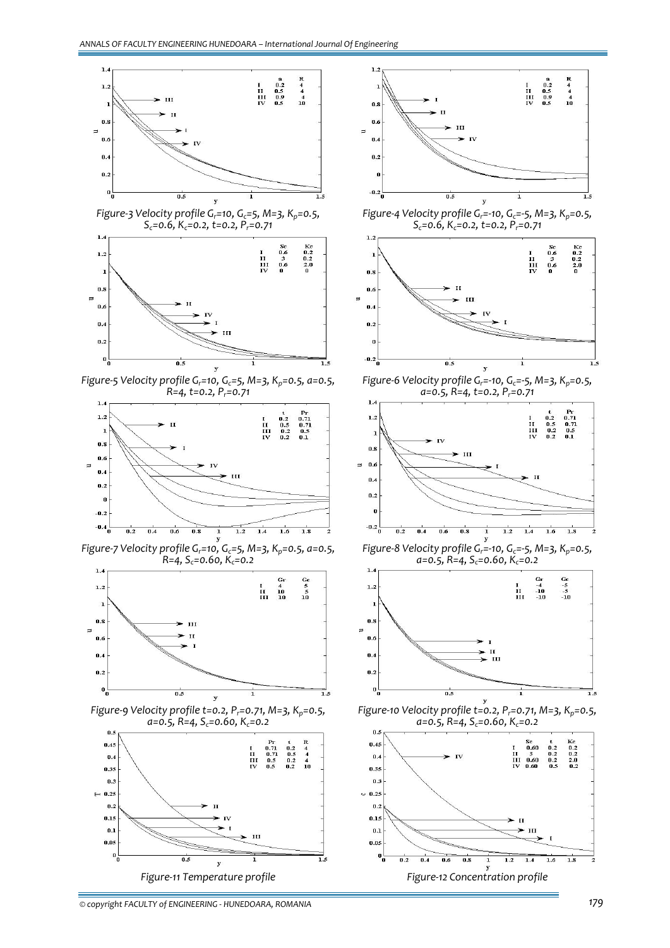

*© copyright FACULTY of ENGINEERING ‐ HUNEDOARA, ROMANIA 179*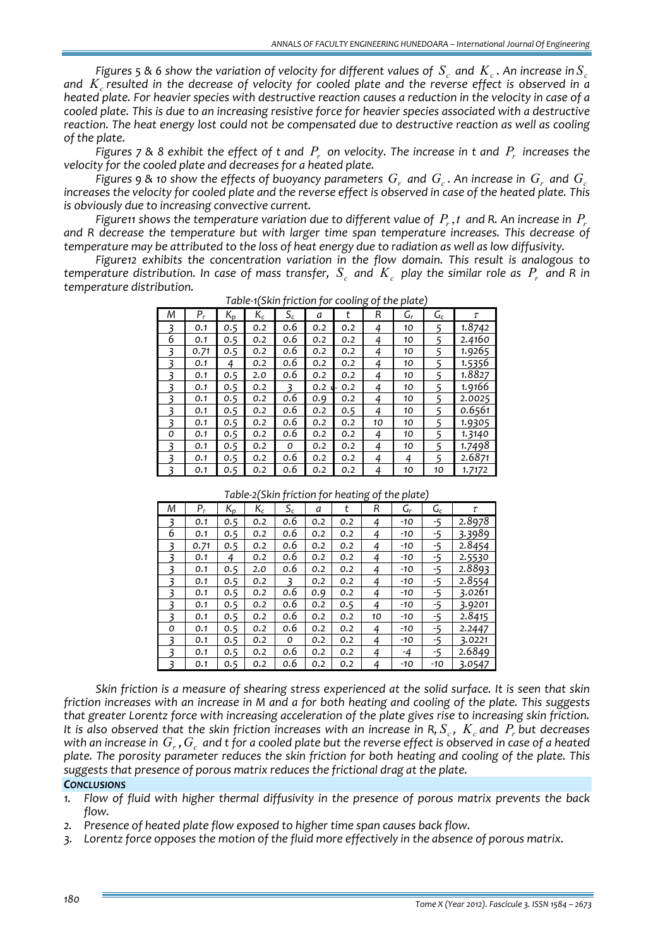Figures 5 & 6 show the variation of velocity for different values of  $S_c$  and  $K_c$ . An increase in  $S_c$ and  $K$  resulted in the decrease of velocity for cooled plate and the reverse effect is observed in a heated plate. For heavier species with destructive reaction causes a reduction in the velocity in case of a cooled plate. This is due to an increasing resistive force for heavier species associated with a destructive *reaction. The heat energy lost could not be compensated due to destructive reaction as well as cooling of the plate.*

Figures 7 & 8 exhibit the effect of t and  $P_r$  on velocity. The increase in t and  $P_r$  increases the *velocity for the cooled plate and decreases for a heated plate.*

Figures 9 & 10 show the effects of buoyancy parameters  $G<sub>r</sub>$  and  $G<sub>r</sub>$ . An increase in  $G<sub>r</sub>$  and  $G<sub>r</sub>$ increases the velocity for cooled plate and the reverse effect is observed in case of the heated plate. This *is obviously due to increasing convective current.*

Figuren shows the temperature variation due to different value of  $P_r$ , t and R. An increase in  $P_r$ *and R decrease the temperature but with larger time span temperature increases. This decrease of* temperature may be attributed to the loss of heat energy due to radiation as well as low diffusivity.

*Figure12 exhibits the concentration variation in the flow domain. This result is analogous to* temperature distribution. In case of mass transfer,  $S_a$  and  $K_a$  play the similar role as  $P_a$  and R in *temperature distribution.*

| Μ | Ρ,   | $K_p$ | $\mathsf{K}_\mathsf{c}$ | $S_c$ | а   |     | R  | G, | $\mathsf{G}_\mathsf{c}$ | τ      |
|---|------|-------|-------------------------|-------|-----|-----|----|----|-------------------------|--------|
|   | 0.1  | 0.5   | 0.2                     | 0.6   | 0.2 | 0.2 | 4  | 10 |                         | 1.8742 |
| 6 | 0.1  | 0.5   | 0.2                     | 0.6   | 0.2 | 0.2 | 4  | 10 |                         | 2.4160 |
|   | 0.71 | 0.5   | 0.2                     | 0.6   | 0.2 | 0.2 | 4  | 10 |                         | 1.9265 |
| ₹ | 0.1  | 4     | 0.2                     | 0.6   | 0.2 | 0.2 | 4  | 10 | 5                       | 1.5356 |
|   | 0.1  | 0.5   | 2.0                     | 0.6   | 0.2 | 0.2 | 4  | 10 | 5                       | 1.8827 |
|   | 0.1  | 0.5   | 0.2                     |       | 0.2 | 0.2 | 4  | 10 |                         | 1.9166 |
| ξ | 0.1  | 0.5   | 0.2                     | 0.6   | 0.9 | 0.2 | 4  | 10 | 5                       | 2.0025 |
| 3 | 0.1  | 0.5   | 0.2                     | 0.6   | 0.2 | 0.5 | 4  | 10 |                         | 0.6561 |
| 3 | 0.1  | 0.5   | 0.2                     | 0.6   | 0.2 | 0.2 | 10 | 10 | 5                       | 1.9305 |
| 0 | 0.1  | 0.5   | 0.2                     | 0.6   | 0.2 | 0.2 | 4  | 10 | 5                       | 1.3140 |
|   | 0.1  | 0.5   | 0.2                     | 0     | 0.2 | 0.2 | 4  | 10 | 5                       | 1.7498 |
|   | 0.1  | 0.5   | 0.2                     | 0.6   | 0.2 | 0.2 | 4  | 4  | 5                       | 2.6871 |
|   | 0.1  | 0.5   | 0.2                     | 0.6   | 0.2 | 0.2 | 4  | 10 | 10                      | 1.7172 |

*Table‐1(Skin friction for cooling of the plate)*

*Table‐2(Skin friction for heating of the plate)*

| Μ | $P_r$ | $K_p$ | $\mathsf{K}_{\mathsf{c}}$ | $\mathsf{s}_{\mathsf{c}}$ | a   | t   | R  | G,    | $G_c$ | τ      |
|---|-------|-------|---------------------------|---------------------------|-----|-----|----|-------|-------|--------|
|   | 0.1   | 0.5   | 0.2                       | 0.6                       | 0.2 | 0.2 | 4  | -10   | -5    | 2.8978 |
| 6 | 0.1   | 0.5   | 0.2                       | 0.6                       | 0.2 | 0.2 | 4  | -10   | $-5$  | 3.3989 |
| ₹ | 0.71  | 0.5   | 0.2                       | 0.6                       | 0.2 | 0.2 | 4  | -10   | -5    | 2.8454 |
| ₹ | 0.1   | 4     | 0.2                       | 0.6                       | 0.2 | 0.2 | 4  | -10   | -5    | 2.5530 |
|   | 0.1   | 0.5   | 2.0                       | 0.6                       | 0.2 | 0.2 | 4  | -10   | -5    | 2.8893 |
| ₹ | 0.1   | 0.5   | 0.2                       |                           | 0.2 | 0.2 | 4  | -10   | -5    | 2.8554 |
| ₹ | 0.1   | 0.5   | 0.2                       | 0.6                       | 0.9 | 0.2 | 4  | $-10$ | -5    | 3.0261 |
|   | 0.1   | 0.5   | 0.2                       | 0.6                       | 0.2 | 0.5 | 4  | -10   | -5    | 3.9201 |
| ₹ | 0.1   | 0.5   | 0.2                       | 0.6                       | 0.2 | 0.2 | 10 | -10   | -5    | 2.8415 |
| 0 | 0.1   | 0.5   | 0.2                       | 0.6                       | 0.2 | 0.2 | 4  | -10   | -5    | 2.2447 |
| ₹ | 0.1   | 0.5   | 0.2                       | 0                         | 0.2 | 0.2 | 4  | -10   | -5    | 3.0221 |
| ₹ | 0.1   | 0.5   | 0.2                       | 0.6                       | 0.2 | 0.2 | 4  | -4    | -5    | 2.6849 |
|   | 0.1   | 0.5   | 0.2                       | 0.6                       | 0.2 | 0.2 | 4  | -10   | -10   | 3.0547 |

Skin friction is a measure of shearing stress experienced at the solid surface. It is seen that skin friction increases with an increase in M and a for both heating and cooling of the plate. This suggests *that greater Lorentz force with increasing acceleration of the plate gives rise to increasing skin friction.* It is also observed that the skin friction increases with an increase in R,  $S_c$ ,  $K_c$  and  $P_r$  but decreases with an increase in  $G_r$ ,  $G_c$  and t for a cooled plate but the reverse effect is observed in case of a heated *plate. The porosity parameter reduces the skin friction for both heating and cooling of the plate. This suggests that presence of porous matrix reduces the frictional drag at the plate.*

# *CONCLUSIONS*

- *1. Flow of fluid with higher thermal diffusivity in the presence of porous matrix prevents the back flow.*
- *2. Presence of heated plate flow exposed to higher time span causes back flow.*
- *3. Lorentz force opposes the motion of the fluid more effectively in the absence of porous matrix.*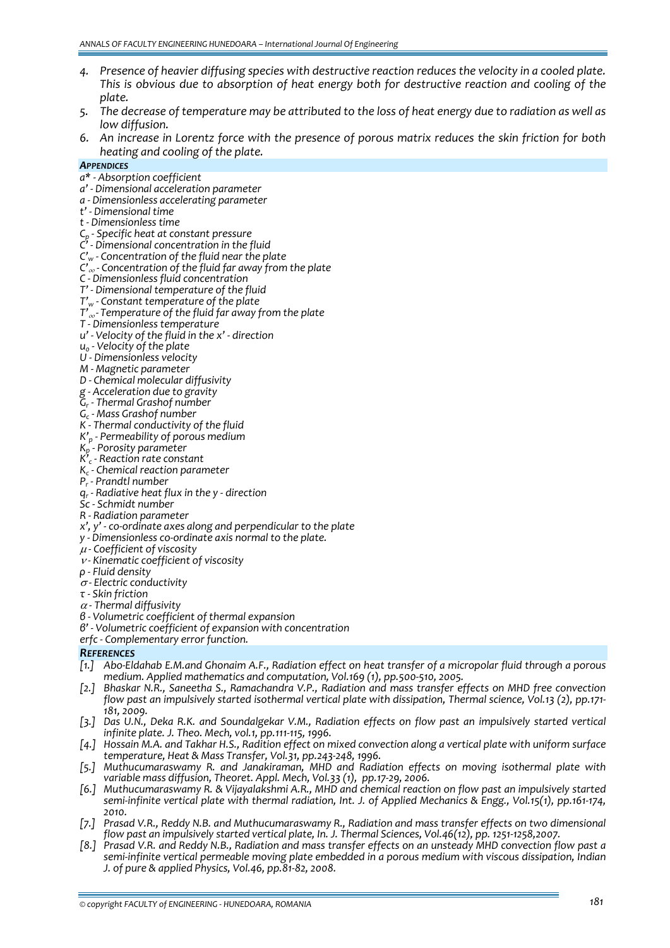- *4. Presence of heavier diffusing species with destructive reaction reduces the velocity in a cooled plate. This is obvious due to absorption of heat energy both for destructive reaction and cooling of the plate.*
- 5. The decrease of temperature may be attributed to the loss of heat energy due to radiation as well as *low diffusion.*
- 6. An increase in Lorentz force with the presence of porous matrix reduces the skin friction for both *heating and cooling of the plate.*

- *APPENDICES*
- 
- a\* Absorption coefficient<br>a' Dimensional acceleration parameter<br>a Dimensionless accelerating parameter<br>t' Dimensionless time<br>t Dimensionless time<br>C<sub>p</sub> Specific heat at constant pressure
- 
- 
- 
- *C' ‐ Dimensional concentration in the fluid*
- *C'w ‐ Concentration of the fluid near the plate*
- *C'*¶ *‐ Concentration of the fluid far away from the plate*
- *C ‐ Dimensionless fluid concentration*
- *T' ‐ Dimensional temperature of the fluid*
- *T'w ‐ Constant temperature of the plate*
- *T'*¶*‐ Temperature of the fluid far away from the plate <sup>T</sup> ‐ Dimensionless temperature*
- 
- *u' ‐ Velocity of the fluid in the x' ‐ direction*
- 
- *u0 ‐ Velocity of the plate <sup>U</sup> ‐ Dimensionless velocity <sup>M</sup> ‐ Magnetic parameter*
- 
- *D ‐ Chemical molecular diffusivity*
- *g ‐ Acceleration due to gravity*
- 
- $G_c$  Mass Grashof number<br>K Thermal conductivity of the fluid
- 
- *K'p ‐ Permeability of porous medium*
- *Kp ‐ Porosity parameter*
- *K'c ‐ Reaction rate constant*
- *Kc ‐ Chemical reaction parameter*
- 
- 
- 
- 
- $q_r$ -Radiative heat flux in the y direction<br>Sc Schmidt number<br>R Radiation parameter<br>x', y' co-ordinate axes along and perpendicular to the plate
- *y ‐ Dimensionless co‐ordinate axis normal to the plate.*
- <sup>μ</sup> *‐ Coefficient of viscosity*
- <sup>ν</sup> *‐ Kinematic coefficient of viscosity*
- *ρ ‐ Fluid density*
- <sup>σ</sup> *‐ Electric conductivity τ ‐ Skin friction*
- 
- 
- <sup>α</sup> *‐ Thermal diffusivity*
- *β ‐ Volumetric coefficient of thermal expansion <sup>β</sup>' ‐ Volumetric coefficient of expansion with concentration*
- *erfc ‐ Complementary error function.*

# *REFERENCES*

- [1.] Abo-Eldahab E.M.and Ghonaim A.F., Radiation effect on heat transfer of a micropolar fluid through a porous *medium. Applied mathematics and computation, Vol.169 (1), pp.500‐510, 2005.*
- *[2.] Bhaskar N.R., Saneetha S., Ramachandra V.P., Radiation and mass transfer effects on MHD free convection* flow past an impulsively started isothermal vertical plate with dissipation, Thermal science, Vol.13 (2), pp.171-<br>181, 2009.
- [3.] Das U.N., Deka R.K. and Soundalgekar V.M., Radiation effects on flow past an impulsively started vertical *infinite plate. J. Theo. Mech, vol.1, pp.111‐115, 1996.*
- [4.] Hossain M.A. and Takhar H.S., Radition effect on mixed convection along a vertical plate with uniform surface<br>temperature, Heat & Mass Transfer, Vol.31, pp.243-248, 1996.
- [5.] Muthucumaraswamy R. and Janakiraman, MHD and Radiation effects on moving isothermal plate with *variable mass diffusion, Theoret. Appl. Mech, Vol.33 (1), pp.17‐29, 2006.*
- *[6.] Muthucumaraswamy R. & Vijayalakshmi A.R., MHD and chemical reaction on flow past an impulsively started* semi-infinite vertical plate with thermal radiation, Int. J. of Applied Mechanics & Engg., Vol.15(1), pp.161-174, *2010.*
- *[7.] Prasad V.R., Reddy N.B. and Muthucumaraswamy R., Radiation and mass transfer effects on two dimensional*
- [8.] Prasad V.R. and Reddy N.B., Radiation and mass transfer effects on an unsteady MHD convection flow past a *semi‐infinite vertical permeable moving plate embedded in a porous medium with viscous dissipation, Indian J. of pure & applied Physics, Vol.46, pp.81‐82, 2008.*